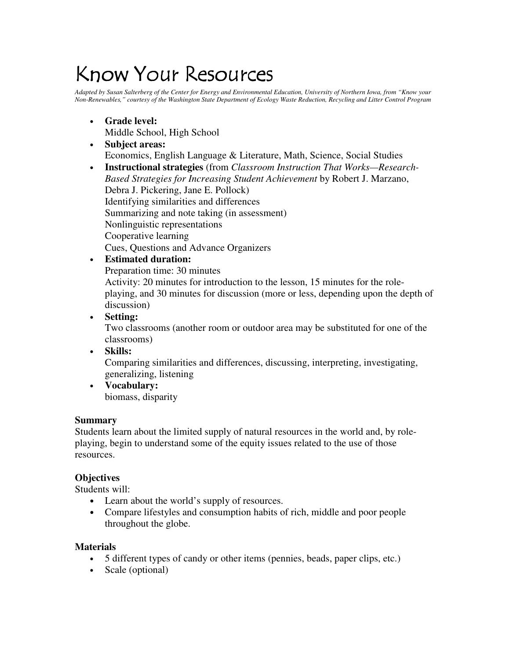# Know Your Resources

Adapted by Susan Salterberg of the Center for Energy and Environmental Education, University of Northern Iowa, from "Know your Non-Renewables," courtesy of the Washington State Department of Ecology Waste Reduction, Recycling and Litter Control Program

- **Grade level:** Middle School, High School
- **Subject areas:** Economics, English Language & Literature, Math, Science, Social Studies
- **Instructional strategies** (from *Classroom Instruction That Works—Research-Based Strategies for Increasing Student Achievement* by Robert J. Marzano, Debra J. Pickering, Jane E. Pollock) Identifying similarities and differences Summarizing and note taking (in assessment) Nonlinguistic representations Cooperative learning Cues, Questions and Advance Organizers
- **Estimated duration:** Preparation time: 30 minutes Activity: 20 minutes for introduction to the lesson, 15 minutes for the roleplaying, and 30 minutes for discussion (more or less, depending upon the depth of discussion)
- **Setting:**

Two classrooms (another room or outdoor area may be substituted for one of the classrooms)

• **Skills:**

Comparing similarities and differences, discussing, interpreting, investigating, generalizing, listening

• **Vocabulary:** biomass, disparity

# **Summary**

Students learn about the limited supply of natural resources in the world and, by roleplaying, begin to understand some of the equity issues related to the use of those resources.

# **Objectives**

Students will:

- Learn about the world's supply of resources.
- Compare lifestyles and consumption habits of rich, middle and poor people throughout the globe.

# **Materials**

- 5 different types of candy or other items (pennies, beads, paper clips, etc.)
- Scale (optional)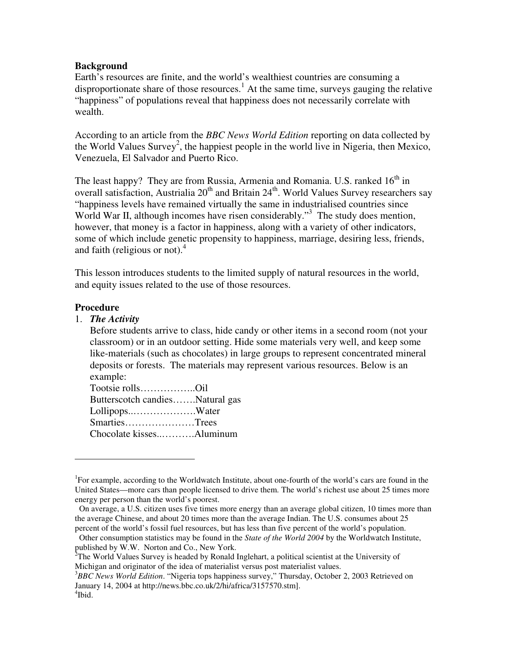#### **Background**

Earth's resources are finite, and the world's wealthiest countries are consuming a disproportionate share of those resources.<sup>1</sup> At the same time, surveys gauging the relative "happiness" of populations reveal that happiness does not necessarily correlate with wealth.

According to an article from the *BBC News World Edition* reporting on data collected by the World Values Survey 2 , the happiest people in the world live in Nigeria, then Mexico, Venezuela, El Salvador and Puerto Rico.

The least happy? They are from Russia, Armenia and Romania. U.S. ranked 16<sup>th</sup> in overall satisfaction, Austrialia  $20^{th}$  and Britain  $24^{th}$ . World Values Survey researchers say "happiness levels have remained virtually the same in industrialised countries since World War II, although incomes have risen considerably."<sup>3</sup> The study does mention, however, that money is a factor in happiness, along with a variety of other indicators, some of which include genetic propensity to happiness, marriage, desiring less, friends, and faith (religious or not). 4

This lesson introduces students to the limited supply of natural resources in the world, and equity issues related to the use of those resources.

#### **Procedure**

#### 1. *The Activity*

Before students arrive to class, hide candy or other items in a second room (not your classroom) or in an outdoor setting. Hide some materials very well, and keep some like-materials (such as chocolates) in large groups to represent concentrated mineral deposits or forests. The materials may represent various resources. Below is an example:

| Tootsie rollsOil                |  |
|---------------------------------|--|
| Butterscotch candiesNatural gas |  |
| LollipopsWater                  |  |
| SmartiesTrees                   |  |
| Chocolate kissesAluminum        |  |

<sup>&</sup>lt;sup>1</sup>For example, according to the Worldwatch Institute, about one-fourth of the world's cars are found in the United States—more cars than people licensed to drive them. The world's richest use about 25 times more energy per person than the world's poorest.

On average, a U.S. citizen uses five times more energy than an average global citizen, 10 times more than the average Chinese, and about 20 times more than the average Indian. The U.S. consumes about 25 percent of the world's fossil fuel resources, but has less than five percent of the world's population.

Other consumption statistics may be found in the *State of the World 2004* by the Worldwatch Institute, published by W.W. Norton and Co., New York.

 $2^2$ The World Values Survey is headed by Ronald Inglehart, a political scientist at the University of Michigan and originator of the idea of materialist versus post materialist values.

<sup>3</sup>*BBC News World Edition*. "Nigeria tops happiness survey," Thursday, October 2, 2003 Retrieved on January 14, 2004 at http://news.bbc.co.uk/2/hi/africa/3157570.stm]. 4 Ibid.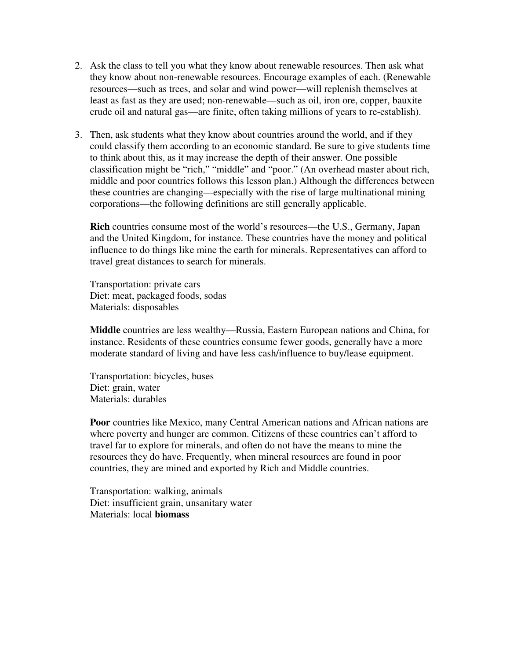- 2. Ask the class to tell you what they know about renewable resources. Then ask what they know about non-renewable resources. Encourage examples of each. (Renewable resources—such as trees, and solar and wind power—will replenish themselves at least as fast as they are used; non-renewable—such as oil, iron ore, copper, bauxite crude oil and natural gas—are finite, often taking millions of years to re-establish).
- 3. Then, ask students what they know about countries around the world, and if they could classify them according to an economic standard. Be sure to give students time to think about this, as it may increase the depth of their answer. One possible classification might be "rich," "middle" and "poor." (An overhead master about rich, middle and poor countries follows this lesson plan.) Although the differences between these countries are changing—especially with the rise of large multinational mining corporations—the following definitions are still generally applicable.

**Rich** countries consume most of the world's resources—the U.S., Germany, Japan and the United Kingdom, for instance. These countries have the money and political influence to do things like mine the earth for minerals. Representatives can afford to travel great distances to search for minerals.

Transportation: private cars Diet: meat, packaged foods, sodas Materials: disposables

**Middle** countries are less wealthy—Russia, Eastern European nations and China, for instance. Residents of these countries consume fewer goods, generally have a more moderate standard of living and have less cash/influence to buy/lease equipment.

Transportation: bicycles, buses Diet: grain, water Materials: durables

**Poor** countries like Mexico, many Central American nations and African nations are where poverty and hunger are common. Citizens of these countries can't afford to travel far to explore for minerals, and often do not have the means to mine the resources they do have. Frequently, when mineral resources are found in poor countries, they are mined and exported by Rich and Middle countries.

Transportation: walking, animals Diet: insufficient grain, unsanitary water Materials: local **biomass**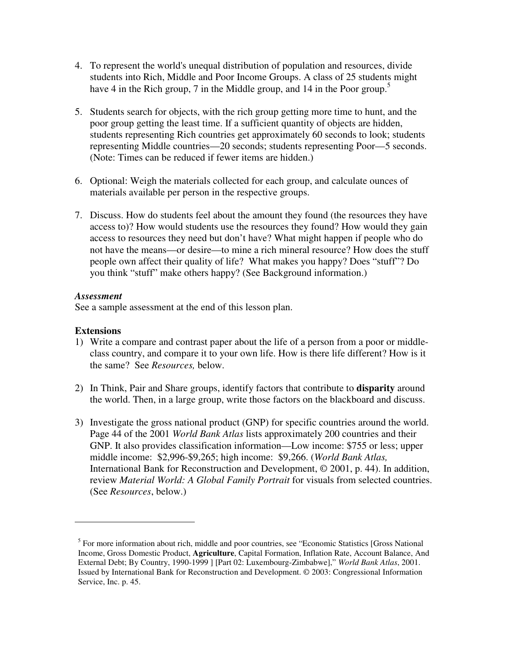- 4. To represent the world's unequal distribution of population and resources, divide students into Rich, Middle and Poor Income Groups. A class of 25 students might have 4 in the Rich group, 7 in the Middle group, and 14 in the Poor group.<sup>5</sup>
- 5. Students search for objects, with the rich group getting more time to hunt, and the poor group getting the least time. If a sufficient quantity of objects are hidden, students representing Rich countries get approximately 60 seconds to look; students representing Middle countries—20 seconds; students representing Poor—5 seconds. (Note: Times can be reduced if fewer items are hidden.)
- 6. Optional: Weigh the materials collected for each group, and calculate ounces of materials available per person in the respective groups.
- 7. Discuss. How do students feel about the amount they found (the resources they have access to)? How would students use the resources they found? How would they gain access to resources they need but don't have? What might happen if people who do not have the means—or desire—to mine a rich mineral resource? How does the stuff people own affect their quality of life? What makes you happy? Does "stuff"? Do you think "stuff" make others happy? (See Background information.)

#### *Assessment*

See a sample assessment at the end of this lesson plan.

#### **Extensions**

- 1) Write a compare and contrast paper about the life of a person from a poor or middleclass country, and compare it to your own life. How is there life different? How is it the same? See *Resources,* below.
- 2) In Think, Pair and Share groups, identify factors that contribute to **disparity** around the world. Then, in a large group, write those factors on the blackboard and discuss.
- 3) Investigate the gross national product (GNP) for specific countries around the world. Page 44 of the 2001 *World Bank Atlas* lists approximately 200 countries and their GNP. It also provides classification information—Low income: \$755 or less; upper middle income: \$2,996-\$9,265; high income: \$9,266. (*World Bank Atlas,* International Bank for Reconstruction and Development, © 2001, p. 44). In addition, review *Material World: A Global Family Portrait* for visuals from selected countries. (See *Resources*, below.)

<sup>&</sup>lt;sup>5</sup> For more information about rich, middle and poor countries, see "Economic Statistics [Gross National Income, Gross Domestic Product, **Agriculture**, Capital Formation, Inflation Rate, Account Balance, And External Debt; By Country, 1990-1999 ] [Part 02: Luxembourg-Zimbabwe]," *World Bank Atlas*, 2001. Issued by International Bank for Reconstruction and Development. © 2003: Congressional Information Service, Inc. p. 45.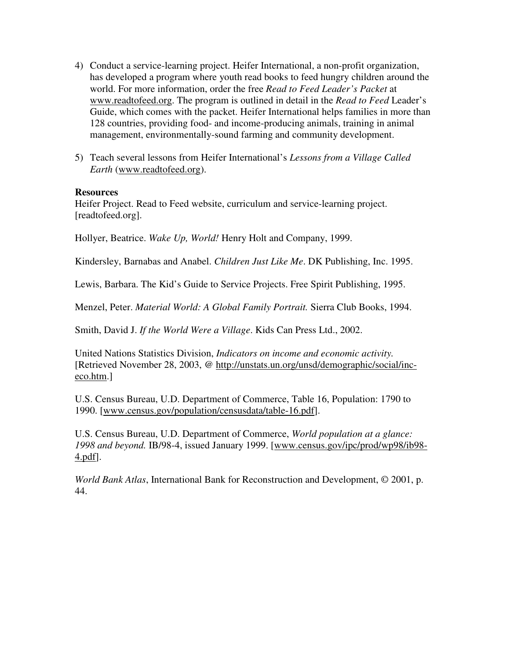- 4) Conduct a service-learning project. Heifer International, a non-profit organization, has developed a program where youth read books to feed hungry children around the world. For more information, order the free *Read to Feed Leader's Packet* at www.readtofeed.org. The program is outlined in detail in the *Read to Feed* Leader's Guide, which comes with the packet. Heifer International helps families in more than 128 countries, providing food- and income-producing animals, training in animal management, environmentally-sound farming and community development.
- 5) Teach several lessons from Heifer International's *Lessons from a Village Called Earth* (www.readtofeed.org).

#### **Resources**

Heifer Project. Read to Feed website, curriculum and service-learning project. [readtofeed.org].

Hollyer, Beatrice. *Wake Up, World!* Henry Holt and Company, 1999.

Kindersley, Barnabas and Anabel. *Children Just Like Me*. DK Publishing, Inc. 1995.

Lewis, Barbara. The Kid's Guide to Service Projects. Free Spirit Publishing, 1995.

Menzel, Peter. *Material World: A Global Family Portrait.* Sierra Club Books, 1994.

Smith, David J. *If the World Were a Village*. Kids Can Press Ltd., 2002.

United Nations Statistics Division, *Indicators on income and economic activity.* [Retrieved November 28, 2003, @ http://unstats.un.org/unsd/demographic/social/inceco.htm.]

U.S. Census Bureau, U.D. Department of Commerce, Table 16, Population: 1790 to 1990. [www.census.gov/population/censusdata/table-16.pdf].

U.S. Census Bureau, U.D. Department of Commerce, *World population at a glance: 1998 and beyond.* IB/98-4, issued January 1999. [www.census.gov/ipc/prod/wp98/ib98- 4.pdf].

*World Bank Atlas*, International Bank for Reconstruction and Development, © 2001, p. 44.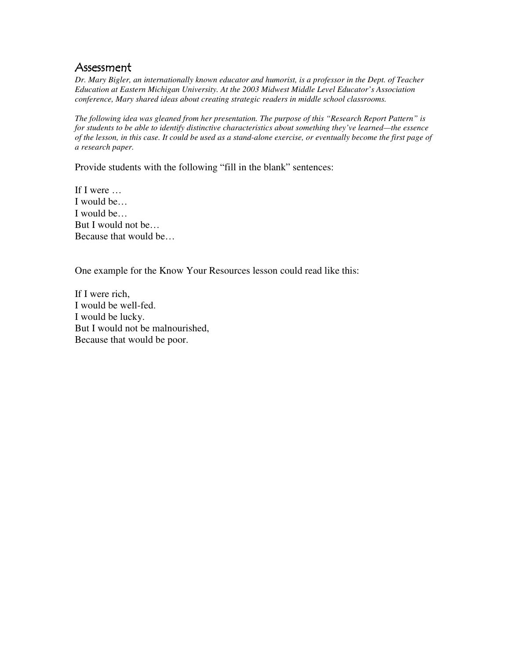# Assessment

*Dr. Mary Bigler, an internationally known educator and humorist, is a professor in the Dept. of Teacher Education at Eastern Michigan University. At the 2003 Midwest Middle Level Educator's Association conference, Mary shared ideas about creating strategic readers in middle school classrooms.*

*The following idea was gleaned from her presentation. The purpose of this "Research Report Pattern" is for students to be able to identify distinctive characteristics about something they've learned—the essence* of the lesson, in this case. It could be used as a stand-alone exercise, or eventually become the first page of *a research paper.*

Provide students with the following "fill in the blank" sentences:

If I were … I would be… I would be… But I would not be… Because that would be…

One example for the Know Your Resources lesson could read like this:

If I were rich, I would be well-fed. I would be lucky. But I would not be malnourished, Because that would be poor.